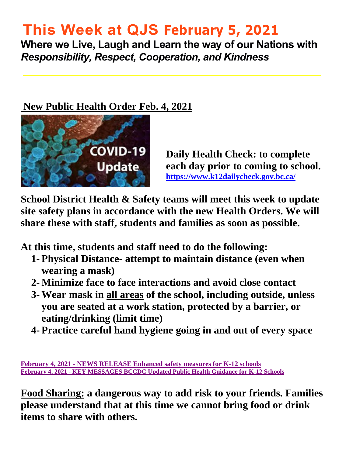## **This Week at QJS February 5, 2021**

**Where we Live, Laugh and Learn the way of our Nations with**  *Responsibility, Respect, Cooperation, and Kindness* 

#### **New Public Health Order Feb. 4, 2021**



**Daily Health Check: to complete each day prior to coming to school. <https://www.k12dailycheck.gov.bc.ca/>**

**School District Health & Safety teams will meet this week to update site safety plans in accordance with the new Health Orders. We will share these with staff, students and families as soon as possible.** 

**At this time, students and staff need to do the following:** 

- **1- Physical Distance- attempt to maintain distance (even when wearing a mask)**
- **2- Minimize face to face interactions and avoid close contact**
- **3- Wear mask in all areas of the school, including outside, unless you are seated at a work station, protected by a barrier, or eating/drinking (limit time)**
- **4- Practice careful hand hygiene going in and out of every space**

**February 4, 2021 - NEWS RELEASE Enhanced safety measures for K-12 schools [February 4, 2021 - KEY MESSAGES BCCDC Updated Public Health Guidance for K-12 Schools](https://www2.gov.bc.ca/assets/gov/education/administration/kindergarten-to-grade-12/safe-caring-orderly/k-12-covid-19-health-safety-guidlines.pdf)**

**Food Sharing: a dangerous way to add risk to your friends. Families please understand that at this time we cannot bring food or drink items to share with others.**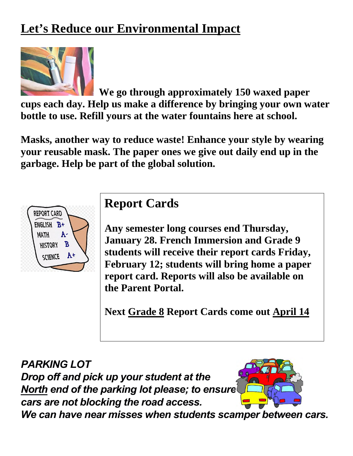## **Let's Reduce our Environmental Impact**



 **We go through approximately 150 waxed paper cups each day. Help us make a difference by bringing your own water bottle to use. Refill yours at the water fountains here at school.** 

**Masks, another way to reduce waste! Enhance your style by wearing your reusable mask. The paper ones we give out daily end up in the garbage. Help be part of the global solution.** 



### **Report Cards**

**Any semester long courses end Thursday, January 28. French Immersion and Grade 9 students will receive their report cards Friday, February 12; students will bring home a paper report card. Reports will also be available on the Parent Portal.** 

**Next Grade 8 Report Cards come out April 14** 

*PARKING LOT Drop off and pick up your student at the North end of the parking lot please; to ensure cars are not blocking the road access.* 

*We can have near misses when students scamper between cars.*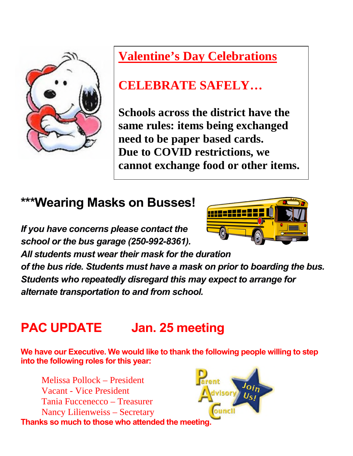

### **Valentine's Day Celebrations**

### **CELEBRATE SAFELY…**

**Schools across the district have the same rules: items being exchanged need to be paper based cards. Due to COVID restrictions, we cannot exchange food or other items.** 

### **\*\*\*Wearing Masks on Busses!**

*If you have concerns please contact the school or the bus garage (250-992-8361).* 



*of the bus ride. Students must have a mask on prior to boarding the bus. Students who repeatedly disregard this may expect to arrange for alternate transportation to and from school.*

## **PAC UPDATE Jan. 25 meeting**

**We have our Executive. We would like to thank the following people willing to step into the following roles for this year:** 

Melissa Pollock – President Vacant - Vice President Tania Fuccenecco – Treasurer Nancy Lilienweiss – Secretary **Thanks so much to those who attended the meeting.** 



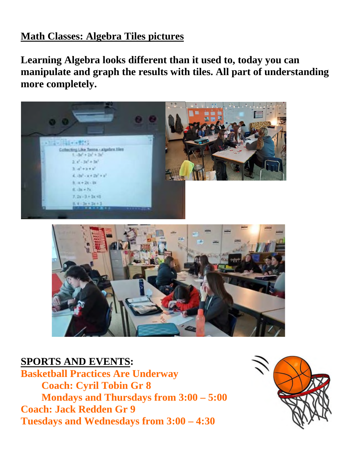#### **Math Classes: Algebra Tiles pictures**

**Learning Algebra looks different than it used to, today you can manipulate and graph the results with tiles. All part of understanding more completely.** 



#### **SPORTS AND EVENTS:**

**Basketball Practices Are Underway Coach: Cyril Tobin Gr 8 Mondays and Thursdays from 3:00 – 5:00 Coach: Jack Redden Gr 9 Tuesdays and Wednesdays from 3:00 – 4:30** 

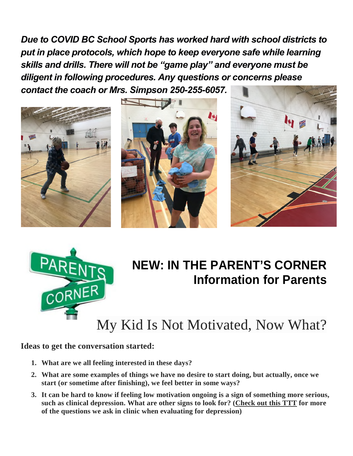*Due to COVID BC School Sports has worked hard with school districts to put in place protocols, which hope to keep everyone safe while learning skills and drills. There will not be "game play" and everyone must be diligent in following procedures. Any questions or concerns please contact the coach or Mrs. Simpson 250-255-6057.* 









### **NEW: IN THE PARENT'S CORNER Information for Parents**

# My Kid Is Not Motivated, Now What?

**Ideas to get the conversation started:** 

- **1. What are we all feeling interested in these days?**
- **2. What are some examples of things we have no desire to start doing, but actually, once we start (or sometime after finishing), we feel better in some ways?**
- **3. It can be hard to know if feeling low motivation ongoing is a sign of something more serious, such as clinical depression. What are other signs to look for? [\(Check out this TTT](https://www.screenagersmovie.com/tech-talk-tuesdays/detangling-teen-depression-and-screen-timenbsp?rq=depression%20clinic) for more of the questions we ask in clinic when evaluating for depression)**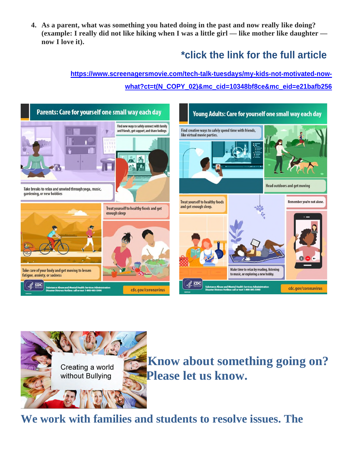**4. As a parent, what was something you hated doing in the past and now really like doing? (example: I really did not like hiking when I was a little girl — like mother like daughter now I love it).** 

#### **\*click the link for the full article**

**[https://www.screenagersmovie.com/tech-talk-tuesdays/my-kids-not-motivated-now](https://www.screenagersmovie.com/tech-talk-tuesdays/my-kids-not-motivated-now-what?ct=t(N_COPY_02)&mc_cid=10348bf8ce&mc_eid=e21bafb256)[what?ct=t\(N\\_COPY\\_02\)&mc\\_cid=10348bf8ce&mc\\_eid=e21bafb256](https://www.screenagersmovie.com/tech-talk-tuesdays/my-kids-not-motivated-now-what?ct=t(N_COPY_02)&mc_cid=10348bf8ce&mc_eid=e21bafb256)** 





**We work with families and students to resolve issues. The**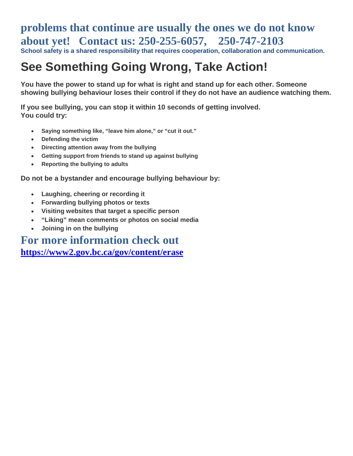#### **problems that continue are usually the ones we do not know about yet! Contact us: 250-255-6057, 250-747-2103 School safety is a shared responsibility that requires cooperation, collaboration and communication.**

### **See Something Going Wrong, Take Action!**

**You have the power to stand up for what is right and stand up for each other. Someone showing bullying behaviour loses their control if they do not have an audience watching them.** 

**If you see bullying, you can stop it within 10 seconds of getting involved. You could try:** 

- **Saying something like, "leave him alone," or "cut it out."**
- **Defending the victim**
- **Directing attention away from the bullying**
- **Getting support from friends to stand up against bullying**
- **Reporting the bullying to adults**

**Do not be a bystander and encourage bullying behaviour by:** 

- **Laughing, cheering or recording it**
- **Forwarding bullying photos or texts**
- **Visiting websites that target a specific person**
- **"Liking" mean comments or photos on social media**
- **Joining in on the bullying**

**For more information check out <https://www2.gov.bc.ca/gov/content/erase>**